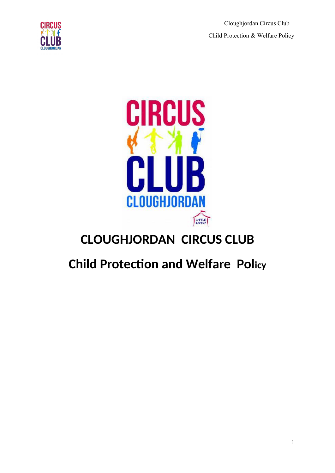Cloughjordan Circus Club Child Protection & Welfare Policy





# **CLOUGHJORDAN CIRCUS CLUB**

# **Child Protection and Welfare Policy**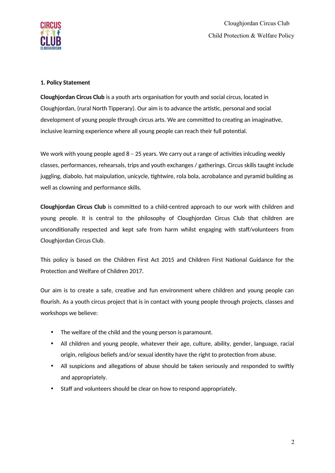

#### **1. Policy Statement**

**Cloughjordan Circus Club** is a youth arts organisation for youth and social circus, located in Cloughjordan, (rural North Tipperary). Our aim is to advance the artistic, personal and social development of young people through circus arts. We are committed to creating an imaginative, inclusive learning experience where all young people can reach their full potential.

We work with young people aged  $8 - 25$  years. We carry out a range of activities inlcuding weekly classes, performances, rehearsals, trips and youth exchanges / gatherings. Circus skills taught include juggling, diabolo, hat maipulation, unicycle, tightwire, rola bola, acrobalance and pyramid building as well as clowning and performance skills.

**Cloughjordaon Circus Club** is commited to a child-centred approach to our work with children and young people. It is central to the philosophy of Cloughjordan Circus Club that children are unconditionally respected and kept safe from harm whilst engaging with staff/volunteers from Cloughjordan Circus Club.

This policy is based on the Children First Act 2015 and Children First National Guidance for the Protection and Welfare of Children 2017.

Our aim is to create a safe, creative and fun environment where children and young people can flourish. As a youth circus project that is in contact with young people through projects, classes and workshops we believe:

- The welfare of the child and the young person is paramount.
- All children and young people, whatever their age, culture, ability, gender, language, racial origin, religious beliefs and/or sexual identity have the right to protection from abuse.
- All suspicions and allegations of abuse should be taken seriously and responded to swiftly and appropriately.
- Staff and volunteers should be clear on how to respond appropriately.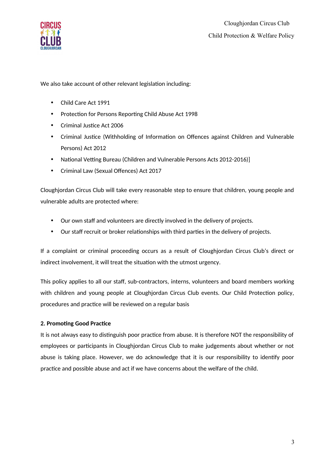

We also take account of other relevant legislation including:

- Child Care Act 1991
- Protection for Persons Reporting Child Abuse Act 1998
- Criminal Justice Act 2006
- Criminal Justice (Withholding of Information on Offences against Children and Vulnerable Persons) Act 2012
- National Vetting Bureau (Children and Vulnerable Persons Acts 2012-2016)]
- Criminal Law (Sexual Offences) Act 2017

Cloughjordan Circus Club will take every reasonable step to ensure that children, young people and vulnerable adults are protected where:

- Our own staff and volunteers are directly involved in the delivery of projects.
- Our staff recruit or broker relationships with third parties in the delivery of projects.

If a complaint or criminal proceeding occurs as a result of Cloughjordan Circus Club's direct or indirect involvement, it will treat the situation with the utmost urgency.

This policy applies to all our staf, sub-contractors, interns, volunteers and board members working with children and young people at Cloughjordan Circus Club events. Our Child Protection policy, procedures and practice will be reviewed on a regular basis

# **2. Promoting Good Practice**

It is not always easy to distinguish poor practice from abuse. It is therefore NOT the responsibility of employees or participants in Cloughjordan Circus Club to make judgements about whether or not abuse is taking place. However, we do acknowledge that it is our responsibility to identify poor practice and possible abuse and act if we have concerns about the welfare of the child.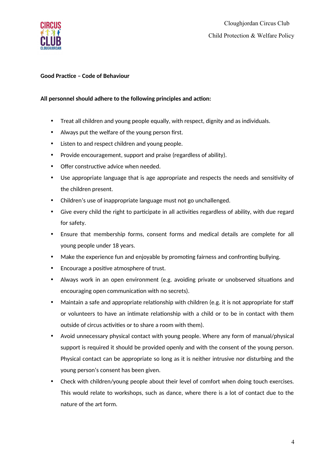

#### **Good Practice - Code of Behaviour**

#### All personnel should adhere to the following principles and action:

- Treat all children and young people equally, with respect, dignity and as individuals.
- Always put the welfare of the young person first.
- Listen to and respect children and young people.
- Provide encouragement, support and praise (regardless of ability).
- Offer constructive advice when needed.
- Use appropriate language that is age appropriate and respects the needs and sensitivity of the children present.
- Children's use of inappropriate language must not go unchallenged.
- Give every child the right to participate in all activities regardless of ability, with due regard for safety.
- Ensure that membership forms, consent forms and medical details are complete for all young people under 18 years.
- Make the experience fun and enjoyable by promoting fairness and confronting bullying.
- Encourage a positive atmosphere of trust.
- Always work in an open environment (e.g. avoiding private or unobserved situatons and encouraging open communication with no secrets).
- Maintain a safe and appropriate relationship with children (e.g. it is not appropriate for staff or volunteers to have an intmate relatonship with a child or to be in contact with them outside of circus activities or to share a room with them).
- Avoid unnecessary physical contact with young people. Where any form of manual/physical support is required it should be provided openly and with the consent of the young person. Physical contact can be appropriate so long as it is neither intrusive nor disturbing and the young person's consent has been given.
- Check with children/young people about their level of comfort when doing touch exercises. This would relate to workshops, such as dance, where there is a lot of contact due to the nature of the art form.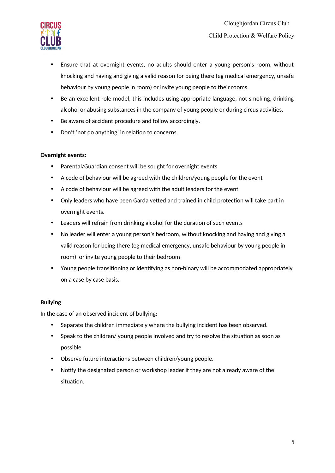

- Ensure that at overnight events, no adults should enter a young person's room, without knocking and having and giving a valid reason for being there (eg medical emergency, unsafe behaviour by young people in room) or invite young people to their rooms.
- Be an excellent role model, this includes using appropriate language, not smoking, drinking alcohol or abusing substances in the company of young people or during circus activities.
- Be aware of accident procedure and follow accordingly.
- Don't 'not do anything' in relation to concerns.

#### **Overnight events:**

- Parental/Guardian consent will be sought for overnight events
- A code of behaviour will be agreed with the children/young people for the event
- A code of behaviour will be agreed with the adult leaders for the event
- Only leaders who have been Garda vetted and trained in child protection will take part in overnight events.
- Leaders will refrain from drinking alcohol for the duration of such events
- No leader will enter a young person's bedroom, without knocking and having and giving a valid reason for being there (eg medical emergency, unsafe behaviour by young people in room) or invite young people to their bedroom
- Young people transitioning or identifying as non-binary will be accommodated appropriately on a case by case basis.

# **Bullying**

In the case of an observed incident of bullying:

- Separate the children immediately where the bullying incident has been observed.
- Speak to the children/ young people involved and try to resolve the situation as soon as possible
- Observe future interactions between children/young people.
- Notify the designated person or workshop leader if they are not already aware of the situation.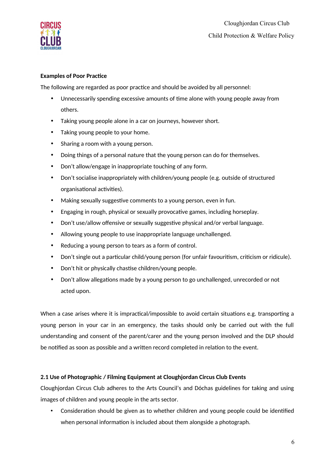

# **Examples of Poor Practice**

The following are regarded as poor practice and should be avoided by all personnel:

- Unnecessarily spending excessive amounts of time alone with young people away from others.
- Taking young people alone in a car on journeys, however short.
- Taking young people to your home.
- Sharing a room with a young person.
- Doing things of a personal nature that the young person can do for themselves.
- Don't allow/engage in inappropriate touching of any form.
- Don't socialise inappropriately with children/young people (e.g. outside of structured organisational activities).
- Making sexually suggestive comments to a young person, even in fun.
- Engaging in rough, physical or sexually provocative games, including horseplay.
- Don't use/allow offensive or sexually suggestive physical and/or verbal language.
- Allowing young people to use inappropriate language unchallenged.
- Reducing a young person to tears as a form of control.
- Don't single out a particular child/young person (for unfair favouritism, criticism or ridicule).
- Don't hit or physically chastise children/young people.
- Don't allow allegations made by a young person to go unchallenged, unrecorded or not acted upon.

When a case arises where it is impractical/impossible to avoid certain situations e.g. transporting a young person in your car in an emergency, the tasks should only be carried out with the full understanding and consent of the parent/carer and the young person involved and the DLP should be notified as soon as possible and a written record completed in relation to the event.

# **2.1 Use of Photographic / Filming Equipment at Cloughjordan Circus Club Events**

Cloughjordan Circus Club adheres to the Arts Council's and Dóchas guidelines for taking and using images of children and young people in the arts sector.

• Consideration should be given as to whether children and young people could be identified when personal information is included about them alongside a photograph.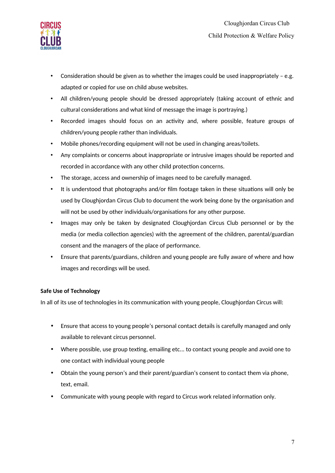

- Consideration should be given as to whether the images could be used inappropriately  $-$  e.g. adapted or copied for use on child abuse websites.
- All children/young people should be dressed appropriately (taking account of ethnic and cultural considerations and what kind of message the image is portraying.)
- Recorded images should focus on an activity and, where possible, feature groups of children/young people rather than individuals.
- Mobile phones/recording equipment will not be used in changing areas/toilets.
- Any complaints or concerns about inappropriate or intrusive images should be reported and recorded in accordance with any other child protection concerns.
- The storage, access and ownership of images need to be carefully managed.
- It is understood that photographs and/or film footage taken in these situations will only be used by Cloughjordan Circus Club to document the work being done by the organisaton and will not be used by other individuals/organisations for any other purpose.
- Images may only be taken by designated Cloughjordan Circus Club personnel or by the media (or media collection agencies) with the agreement of the children, parental/guardian consent and the managers of the place of performance.
- Ensure that parents/guardians, children and young people are fully aware of where and how images and recordings will be used.

# **Safe Use of Technology**

In all of its use of technologies in its communication with young people, Cloughjordan Circus will:

- Ensure that access to young people's personal contact details is carefully managed and only available to relevant circus personnel.
- Where possible, use group textng, emailing etc... to contact young people and avoid one to one contact with individual young people
- Obtain the young person's and their parent/guardian's consent to contact them via phone, text, email.
- Communicate with young people with regard to Circus work related information only.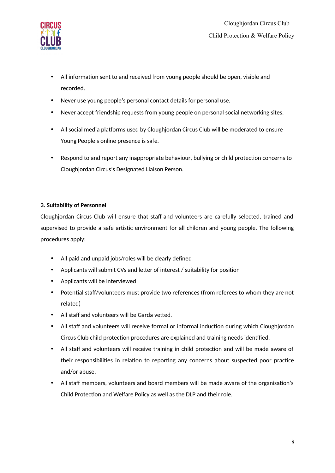

- All information sent to and received from young people should be open, visible and recorded.
- Never use young people's personal contact details for personal use.
- Never accept friendship requests from young people on personal social networking sites.
- All social media platforms used by Cloughjordan Circus Club will be moderated to ensure Young People's online presence is safe.
- Respond to and report any inappropriate behaviour, bullying or child protection concerns to Cloughjordan Circus's Designated Liaison Person.

#### **3. Suitability of Persoononel**

Cloughjordan Circus Club will ensure that staff and volunteers are carefully selected, trained and supervised to provide a safe artistic environment for all children and young people. The following procedures apply:

- All paid and unpaid jobs/roles will be clearly defned
- Applicants will submit CVs and letter of interest / suitability for position
- Applicants will be interviewed
- Potential staff/volunteers must provide two references (from referees to whom they are not related)
- All staff and volunteers will be Garda vetted.
- All staff and volunteers will receive formal or informal induction during which Cloughjordan Circus Club child protection procedures are explained and training needs identified.
- All staff and volunteers will receive training in child protection and will be made aware of their responsibilities in relation to reporting any concerns about suspected poor practice and/or abuse.
- All staff members, volunteers and board members will be made aware of the organisation's Child Protection and Welfare Policy as well as the DLP and their role.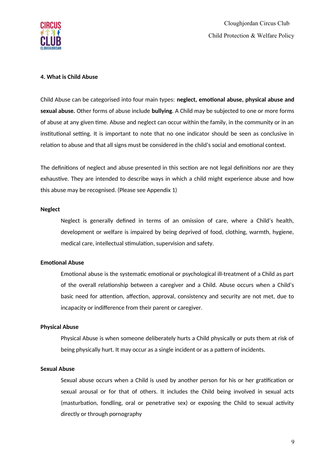

#### **4. What is Child Abuse**

Child Abuse can be categorised into four main types: neglect, emotional abuse, physical abuse and sexual abuse. Other forms of abuse include bullying. A Child may be subjected to one or more forms of abuse at any given time. Abuse and neglect can occur within the family, in the community or in an institutional setting. It is important to note that no one indicator should be seen as conclusive in relation to abuse and that all signs must be considered in the child's social and emotional context.

The definitions of neglect and abuse presented in this section are not legal definitions nor are they exhaustive. They are intended to describe ways in which a child might experience abuse and how this abuse may be recognised. (Please see Appendix 1)

#### **Neglect**

Neglect is generally defined in terms of an omission of care, where a Child's health, development or welfare is impaired by being deprived of food, clothing, warmth, hygiene, medical care, intellectual stimulation, supervision and safety.

#### **Emotional Abuse**

Emotional abuse is the systematic emotional or psychological ill-treatment of a Child as part of the overall relationship between a caregiver and a Child. Abuse occurs when a Child's basic need for attention, affection, approval, consistency and security are not met, due to incapacity or indifference from their parent or caregiver.

#### **Physical Abuse**

Physical Abuse is when someone deliberately hurts a Child physically or puts them at risk o being physically hurt. It may occur as a single incident or as a pattern of incidents.

#### **Sexual Abuse**

Sexual abuse occurs when a Child is used by another person for his or her gratification or sexual arousal or for that of others. It includes the Child being involved in sexual acts (masturbation, fondling, oral or penetrative sex) or exposing the Child to sexual activity directly or through pornography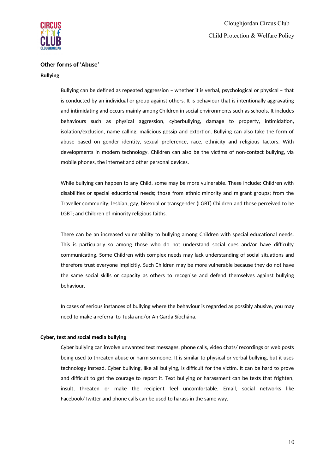

# **Other forms of 'Abuse'**

#### **Bullying**

Bullying can be defned as repeated aggression – whether it is verbal, psychological or physical – that is conducted by an individual or group against others. It is behaviour that is intentionally aggravating and intimidating and occurs mainly among Children in social environments such as schools. It includes behaviours such as physical aggression, cyberbullying, damage to property, intmidaton, isolation/exclusion, name calling, malicious gossip and extortion. Bullying can also take the form of abuse based on gender identity, sexual preference, race, ethnicity and religious factors. With developments in modern technology, Children can also be the victims of non-contact bullying, via mobile phones, the internet and other personal devices.

While bullying can happen to any Child, some may be more vulnerable. These include: Children with disabilities or special educational needs; those from ethnic minority and migrant groups; from the Traveller community; lesbian, gay, bisexual or transgender (LGBT) Children and those perceived to be LGBT; and Children of minority religious faiths.

There can be an increased vulnerability to bullying among Children with special educatonal needs. This is particularly so among those who do not understand social cues and/or have difficulty communicating. Some Children with complex needs may lack understanding of social situations and therefore trust everyone implicitly. Such Children may be more vulnerable because they do not have the same social skills or capacity as others to recognise and defend themselves against bullying behaviour.

In cases of serious instances of bullying where the behaviour is regarded as possibly abusive, you may need to make a referral to Tusla and/or An Garda Síochána.

#### **Cyber, text and social media bullying**

Cyber bullying can involve unwanted text messages, phone calls, video chats/ recordings or web posts being used to threaten abuse or harm someone. It is similar to physical or verbal bullying, but it uses technology instead. Cyber bullying, like all bullying, is difficult for the victim. It can be hard to prove and difficult to get the courage to report it. Text bullying or harassment can be texts that frighten, insult, threaten or make the recipient feel uncomfortable. Email, social networks like Facebook/Twiter and phone calls can be used to harass in the same way.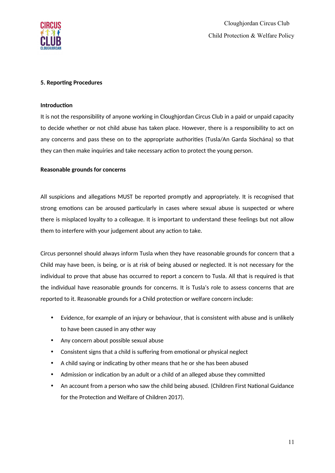

#### **5. Reporting Procedures**

#### **Introduction**

It is not the responsibility of anyone working in Cloughjordan Circus Club in a paid or unpaid capacity to decide whether or not child abuse has taken place. However, there is a responsibility to act on any concerns and pass these on to the appropriate authorites (Tusla/An Garda Síochána) so that they can then make inquiries and take necessary action to protect the young person.

#### **Reasonable grounds for concerns**

All suspicions and allegations MUST be reported promptly and appropriately. It is recognised that strong emotions can be aroused particularly in cases where sexual abuse is suspected or where there is misplaced loyalty to a colleague. It is important to understand these eelings but not allow them to interfere with your judgement about any action to take.

Circus personnel should always inform Tusla when they have reasonable grounds for concern that a Child may have been, is being, or is at risk of being abused or neglected. It is not necessary for the individual to prove that abuse has occurred to report a concern to Tusla. All that is required is that the individual have reasonable grounds for concerns. It is Tusla's role to assess concerns that are reported to it. Reasonable grounds for a Child protection or welfare concern include:

- Evidence, for example of an injury or behaviour, that is consistent with abuse and is unlikely to have been caused in any other way
- Any concern about possible sexual abuse
- Consistent signs that a child is suffering from emotional or physical neglect
- A child saying or indicating by other means that he or she has been abused
- Admission or indication by an adult or a child of an alleged abuse they committed
- An account from a person who saw the child being abused. (Children First National Guidance for the Protection and Welfare of Children 2017).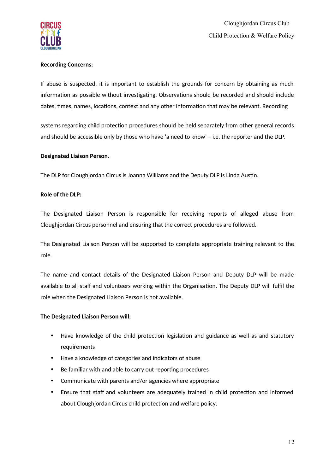

#### **Recording Concerns:**

If abuse is suspected, it is important to establish the grounds for concern by obtaining as much information as possible without investigating. Observations should be recorded and should include dates, times, names, locations, context and any other information that may be relevant. Recording

systems regarding child protection procedures should be held separately from other general records and should be accessible only by those who have 'a need to know' – i.e. the reporter and the DLP.

#### **Desigonated Liaisoon Persoon.**

The DLP for Cloughjordan Circus is Joanna Williams and the Deputy DLP is Linda Austin.

#### **Role of the DLP:**

The Designated Liaison Person is responsible for receiving reports of alleged abuse from Cloughjordan Circus personnel and ensuring that the correct procedures are followed.

The Designated Liaison Person will be supported to complete appropriate training relevant to the role.

The name and contact details of the Designated Liaison Person and Deputy DLP will be made available to all staff and volunteers working within the Organisation. The Deputy DLP will fulfil the role when the Designated Liaison Person is not available.

#### **The Designated Liaison Person will:**

- Have knowledge of the child protection legislation and guidance as well as and statutory requirements
- Have a knowledge of categories and indicators of abuse
- Be familiar with and able to carry out reporting procedures
- Communicate with parents and/or agencies where appropriate
- Ensure that staff and volunteers are adequately trained in child protection and informed about Cloughjordan Circus child protection and welfare policy.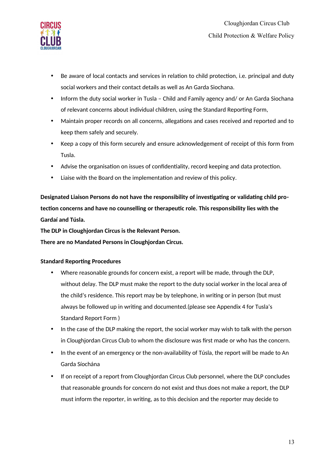

- Be aware of local contacts and services in relation to child protection, i.e. principal and duty social workers and their contact details as well as An Garda Siochana.
- Inform the duty social worker in Tusla Child and Family agency and/ or An Garda Siochana of relevant concerns about individual children, using the Standard Reporting Form,
- Maintain proper records on all concerns, allegatons and cases received and reported and to keep them safely and securely.
- Keep a copy of this form securely and ensure acknowledgement of receipt of this form from Tusla.
- Advise the organisation on issues of confidentiality, record keeping and data protection.
- Liaise with the Board on the implementation and review of this policy.

Designated Liaison Persons do not have the responsibility of investigating or validating child protection concerns and have no counselling or therapeutic role. This responsibility lies with the **Gardaí and Túsla.** 

The DLP in Cloughjordan Circus is the Relevant Person.

**There are no Mandated Persons in Cloughjordan Circus.** 

# **Standard Reporting Procedures**

- Where reasonable grounds for concern exist, a report will be made, through the DLP, without delay. The DLP must make the report to the duty social worker in the local area o the child's residence. This report may be by telephone, in writng or in person (but must always be followed up in writing and documented.(please see Appendix 4 for Tusla's Standard Report Form )
- In the case of the DLP making the report, the social worker may wish to talk with the person in Cloughjordan Circus Club to whom the disclosure was frst made or who has the concern.
- In the event of an emergency or the non-availability of Túsla, the report will be made to An Garda Síochána
- If on receipt of a report from Cloughjordan Circus Club personnel, where the DLP concludes that reasonable grounds for concern do not exist and thus does not make a report, the DLP must inform the reporter, in writing, as to this decision and the reporter may decide to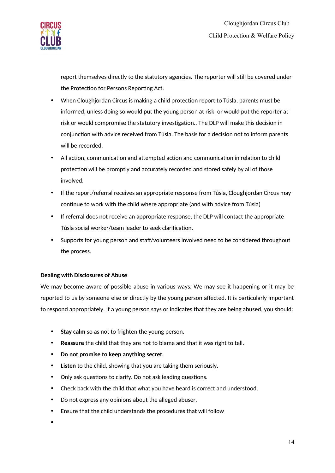

report themselves directly to the statutory agencies. The reporter will stll be covered under the Protection for Persons Reporting Act.

- When Cloughjordan Circus is making a child protection report to Túsla, parents must be informed, unless doing so would put the young person at risk, or would put the reporter at risk or would compromise the statutory investgaton.. The DLP will make this decision in conjunction with advice received from Túsla. The basis for a decision not to inform parents will be recorded.
- All action, communication and attempted action and communication in relation to child protection will be promptly and accurately recorded and stored safely by all of those involved.
- If the report/referral receives an appropriate response from Túsla, Cloughjordan Circus may continue to work with the child where appropriate (and with advice from Túsla)
- If referral does not receive an appropriate response, the DLP will contact the appropriate Túsla social worker/team leader to seek clarification.
- Supports for young person and staff/volunteers involved need to be considered throughout the process.

# **Dealing with Disclosures of Abuse**

We may become aware of possible abuse in various ways. We may see it happening or it may be reported to us by someone else or directly by the young person afected. It is partcularly important to respond appropriately. If a young person says or indicates that they are being abused, you should:

- Stay calm so as not to frighten the young person.
- **Reassure** the child that they are not to blame and that it was right to tell.
- **•** Do not promise to keep anything secret.
- **•** Listen to the child, showing that you are taking them seriously.
- Only ask questions to clarify. Do not ask leading questions.
- Check back with the child that what you have heard is correct and understood.
- Do not express any opinions about the alleged abuser.
- Ensure that the child understands the procedures that will follow

 $\bullet$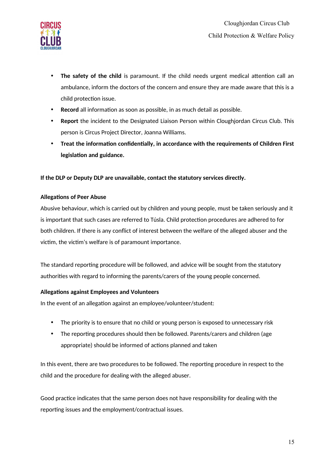

- The safety of the child is paramount. If the child needs urgent medical attention call an ambulance, inform the doctors of the concern and ensure they are made aware that this is a child protection issue.
- Record all information as soon as possible, in as much detail as possible.
- **Report** the incident to the Designated Liaison Person within Cloughjordan Circus Club. This person is Circus Project Director, Joanna Williams.
- Treat the information confidentially, in accordance with the requirements of Children First legislation and guidance.

# If the DLP or Deputy DLP are unavailable, contact the statutory services directly.

#### **Allegations of Peer Abuse**

Abusive behaviour, which is carried out by children and young people, must be taken seriously and it is important that such cases are referred to Túsla. Child protection procedures are adhered to for both children. If there is any conflict of interest between the welfare of the alleged abuser and the victim, the victim's welfare is of paramount importance.

The standard reporting procedure will be followed, and advice will be sought from the statutory authorities with regard to informing the parents/carers of the young people concerned.

#### **Allegations against Employees and Volunteers**

In the event of an allegation against an employee/volunteer/student:

- The priority is to ensure that no child or young person is exposed to unnecessary risk
- The reporting procedures should then be followed. Parents/carers and children (age appropriate) should be informed of actions planned and taken

In this event, there are two procedures to be followed. The reporting procedure in respect to the child and the procedure for dealing with the alleged abuser.

Good practice indicates that the same person does not have responsibility for dealing with the reporting issues and the employment/contractual issues.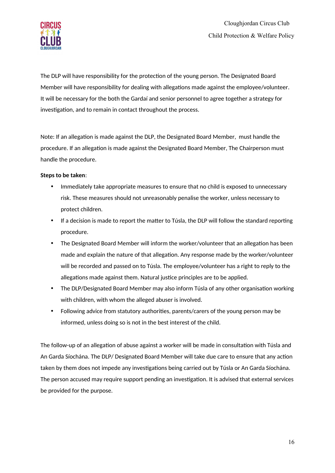

The DLP will have responsibility for the protection of the young person. The Designated Board Member will have responsibility for dealing with allegations made against the employee/volunteer. It will be necessary for the both the Gardaí and senior personnel to agree together a strategy for investigation, and to remain in contact throughout the process.

Note: If an allegation is made against the DLP, the Designated Board Member, must handle the procedure. If an allegation is made against the Designated Board Member, The Chairperson must handle the procedure.

#### **Steps to be taken:**

- Immediately take appropriate measures to ensure that no child is exposed to unnecessary risk. These measures should not unreasonably penalise the worker, unless necessary to protect children.
- If a decision is made to report the matter to Túsla, the DLP will follow the standard reporting procedure.
- The Designated Board Member will inform the worker/volunteer that an allegation has been made and explain the nature of that allegation. Any response made by the worker/volunteer will be recorded and passed on to Túsla. The employee/volunteer has a right to reply to the allegations made against them. Natural justice principles are to be applied.
- The DLP/Designated Board Member may also inform Túsla of any other organisation working with children, with whom the alleged abuser is involved.
- Following advice from statutory authorities, parents/carers of the young person may be informed, unless doing so is not in the best interest of the child.

The follow-up of an allegation of abuse against a worker will be made in consultation with Túsla and An Garda Síochána. The DLP/ Designated Board Member will take due care to ensure that any acton taken by them does not impede any investgatons being carried out by Túsla or An Garda Síochána. The person accused may require support pending an investgaton. It is advised that external services be provided for the purpose.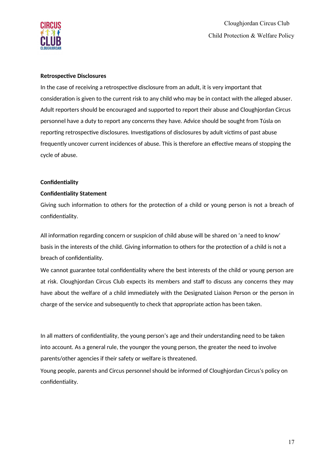

#### **Retrospective Disclosures**

In the case of receiving a retrospective disclosure from an adult, it is very important that consideration is given to the current risk to any child who may be in contact with the alleged abuser. Adult reporters should be encouraged and supported to report their abuse and Cloughjordan Circus personnel have a duty to report any concerns they have. Advice should be sought from Túsla on reporting retrospective disclosures. Investigations of disclosures by adult victims of past abuse frequently uncover current incidences of abuse. This is therefore an effective means of stopping the cycle of abuse.

#### **Confidentiality**

#### **Confidentiality Statement**

Giving such information to others for the protection of a child or young person is not a breach of confidentiality.

All information regarding concern or suspicion of child abuse will be shared on 'a need to know' basis in the interests of the child. Giving information to others for the protection of a child is not a breach of confidentiality.

We cannot guarantee total confidentiality where the best interests of the child or young person are at risk. Cloughjordan Circus Club expects its members and staf to discuss any concerns they may have about the welfare of a child immediately with the Designated Liaison Person or the person in charge of the service and subsequently to check that appropriate action has been taken.

In all matters of confidentiality, the young person's age and their understanding need to be taken into account. As a general rule, the younger the young person, the greater the need to involve parents/other agencies if their safety or welfare is threatened.

Young people, parents and Circus personnel should be informed of Cloughjordan Circus's policy on confidentiality.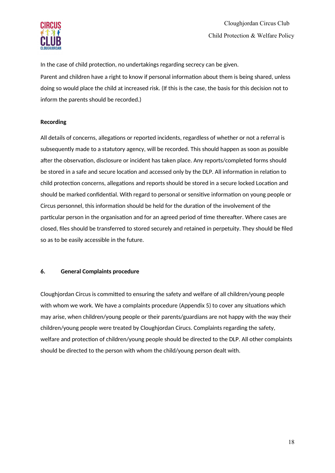

In the case of child protection, no undertakings regarding secrecy can be given. Parent and children have a right to know if personal information about them is being shared, unless doing so would place the child at increased risk. (If this is the case, the basis for this decision not to inform the parents should be recorded.)

# **Recording**

All details of concerns, allegations or reported incidents, regardless of whether or not a referral is subsequently made to a statutory agency, will be recorded. This should happen as soon as possible after the observation, disclosure or incident has taken place. Any reports/completed forms should be stored in a safe and secure location and accessed only by the DLP. All information in relation to child protection concerns, allegations and reports should be stored in a secure locked Location and should be marked confidential. With regard to personal or sensitive information on young people or Circus personnel, this information should be held for the duration of the involvement of the particular person in the organisation and for an agreed period of time thereafter. Where cases are closed, files should be transferred to stored securely and retained in perpetuity. They should be filed so as to be easily accessible in the future.

# **6.** General Complaints procedure

Cloughjordan Circus is committed to ensuring the safety and welfare of all children/young people with whom we work. We have a complaints procedure (Appendix 5) to cover any situatons which may arise, when children/young people or their parents/guardians are not happy with the way their children/young people were treated by Cloughjordan Cirucs. Complaints regarding the safety, welfare and protection of children/young people should be directed to the DLP. All other complaints should be directed to the person with whom the child/young person dealt with.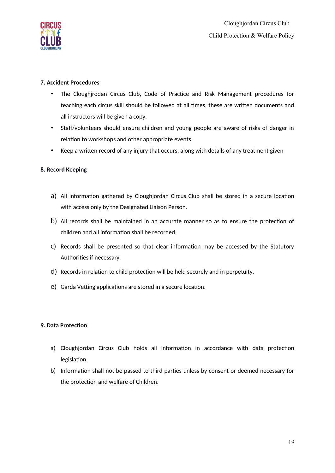

# **7. Accideont Procedures**

- The Cloughjrodan Circus Club, Code of Practice and Risk Management procedures for teaching each circus skill should be followed at all times, these are written documents and all instructors will be given a copy.
- Staff/volunteers should ensure children and young people are aware of risks of danger in relation to workshops and other appropriate events.
- Keep a written record of any injury that occurs, along with details of any treatment given

# **8. Record Keeping**

- a) All information gathered by Cloughjordan Circus Club shall be stored in a secure location with access only by the Designated Liaison Person.
- b) All records shall be maintained in an accurate manner so as to ensure the protection of children and all information shall be recorded.
- c) Records shall be presented so that clear information may be accessed by the Statutory Authorities if necessary.
- d) Records in relation to child protection will be held securely and in perpetuity.
- e) Garda Vetting applications are stored in a secure location.

# **9. Data Protection**

- a) Cloughjordan Circus Club holds all information in accordance with data protection legislation.
- b) Information shall not be passed to third parties unless by consent or deemed necessary for the protection and welfare of Children.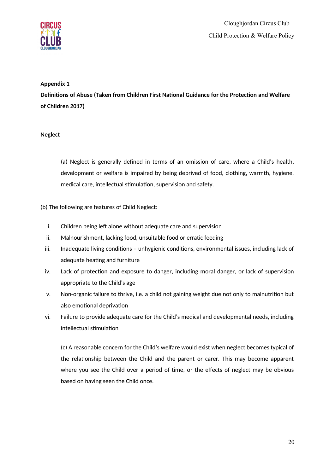

# **Appeondix 1**

**Definitions of Abuse (Taken from Children First National Guidance for the Protection and Welfare of Childreon 2017)**

# **Neglect**

(a) Neglect is generally defined in terms of an omission of care, where a Child's health, development or welfare is impaired by being deprived of food, clothing, warmth, hygiene, medical care, intellectual stimulation, supervision and safety.

# (b) The following are features of Child Neglect:

- i. Children being left alone without adequate care and supervision
- ii. Malnourishment, lacking food, unsuitable food or erratic feeding
- iii. Inadequate living conditions unhygienic conditions, environmental issues, including lack of adequate heating and furniture
- iv. Lack of protection and exposure to danger, including moral danger, or lack of supervision appropriate to the Child's age
- v. Non-organic failure to thrive, i.e. a child not gaining weight due not only to malnutrition but also emotional deprivation
- vi. Failure to provide adequate care for the Child's medical and developmental needs, including intellectual stimulation

(c) A reasonable concern for the Child's welfare would exist when neglect becomes typical of the relationship between the Child and the parent or carer. This may become apparent where you see the Child over a period of time, or the effects of neglect may be obvious based on having seen the Child once.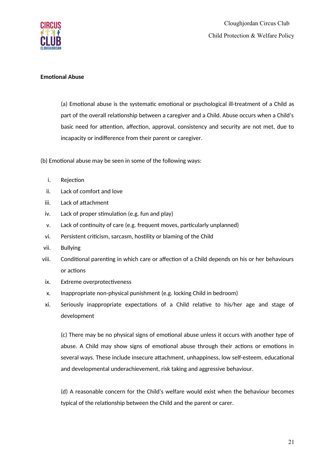

#### **Emotional Abuse**

(a) Emotional abuse is the systematic emotional or psychological ill-treatment of a Child as part of the overall relationship between a caregiver and a Child. Abuse occurs when a Child's basic need for attention, affection, approval, consistency and security are not met, due to incapacity or indifference from their parent or caregiver.

(b) Emotional abuse may be seen in some of the following ways:

- i. Rejection
- ii. Lack of comfort and love
- iii. Lack of attachment
- iv. Lack of proper stimulation (e.g. fun and play)
- v. Lack of continuity of care (e.g. frequent moves, particularly unplanned)
- vi. Persistent criticism, sarcasm, hostility or blaming of the Child
- vii. Bullying
- viii. Conditional parenting in which care or affection of a Child depends on his or her behaviours or actions
- ix. Extreme overprotectiveness
- x. Inappropriate non-physical punishment (e.g. locking Child in bedroom)
- xi. Seriously inappropriate expectations of a Child relative to his/her age and stage of development

(c) There may be no physical signs of emotional abuse unless it occurs with another type of abuse. A Child may show signs of emotional abuse through their actions or emotions in several ways. These include insecure attachment, unhappiness, low self-esteem, educational and developmental underachievement, risk taking and aggressive behaviour.

(d) A reasonable concern for the Child's welfare would exist when the behaviour becomes typical of the relationship between the Child and the parent or carer.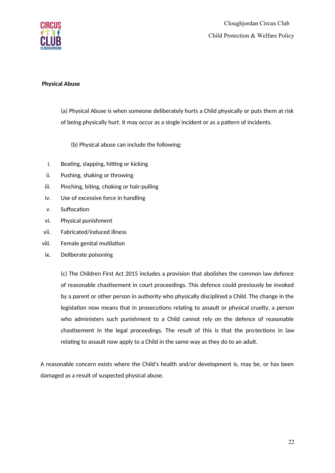

#### **Physical Abuse**

(a) Physical Abuse is when someone deliberately hurts a Child physically or puts them at risk of being physically hurt. It may occur as a single incident or as a pattern of incidents.

(b) Physical abuse can include the following:

- i. Beating, slapping, hitting or kicking
- ii. Pushing, shaking or throwing
- iii. Pinching, biting, choking or hair-pulling
- iv. Use of excessive force in handling
- v. Suffocation
- vi. Physical punishment
- vii. Fabricated/induced illness
- viii. Female genital mutilation
- ix. Deliberate poisoning

(c) The Children First Act 2015 includes a provision that abolishes the common law defence of reasonable chastisement in court proceedings. This defence could previously be invoked by a parent or other person in authority who physically disciplined a Child. The change in the legislation now means that in prosecutions relating to assault or physical cruelty, a person who administers such punishment to a Child cannot rely on the defence of reasonable chastisement in the legal proceedings. The result of this is that the protections in law relating to assault now apply to a Child in the same way as they do to an adult.

A reasonable concern exists where the Child's health and/or development is, may be, or has been damaged as a result of suspected physical abuse.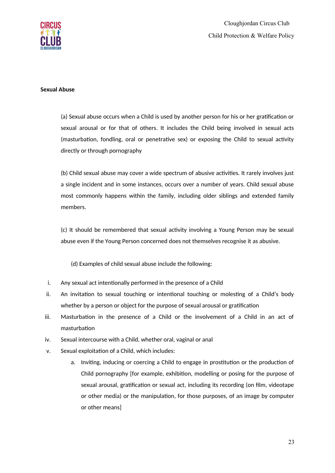

#### **Sexual Abuse**

(a) Sexual abuse occurs when a Child is used by another person for his or her gratification or sexual arousal or for that of others. It includes the Child being involved in sexual acts (masturbation, fondling, oral or penetrative sex) or exposing the Child to sexual activity directly or through pornography

(b) Child sexual abuse may cover a wide spectrum of abusive activities. It rarely involves just a single incident and in some instances, occurs over a number of years. Child sexual abuse most commonly happens within the family, including older siblings and extended family members.

(c) It should be remembered that sexual actvity involving a Young Person may be sexual abuse even if the Young Person concerned does not themselves recognise it as abusive.

(d) Examples of child sexual abuse include the following:

- i. Any sexual act intentionally performed in the presence of a Child
- ii. An invitation to sexual touching or intentional touching or molesting of a Child's body whether by a person or object for the purpose of sexual arousal or gratification
- iii. Masturbation in the presence of a Child or the involvement of a Child in an act of masturbation
- iv. Sexual intercourse with a Child, whether oral, vaginal or anal
- v. Sexual exploitation of a Child, which includes:
	- a. Inviting, inducing or coercing a Child to engage in prostitution or the production of Child pornography [for example, exhibition, modelling or posing for the purpose of sexual arousal, gratification or sexual act, including its recording (on film, videotape or other media) or the manipulation, for those purposes, of an image by computer or other means]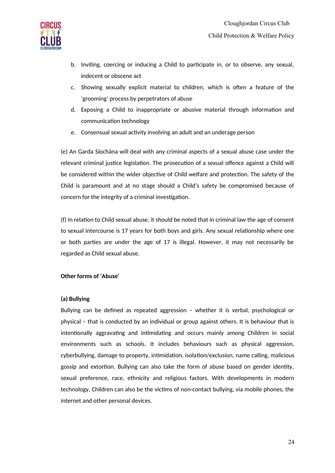

- b. Invitng, coercing or inducing a Child to partcipate in, or to observe, any sexual, indecent or obscene act
- c. Showing sexually explicit material to children, which is often a feature of the 'grooming' process by perpetrators of abuse
- d. Exposing a Child to inappropriate or abusive material through information and communication technology
- e. Consensual sexual actvity involving an adult and an underage person

(e) An Garda Síochána will deal with any criminal aspects of a sexual abuse case under the relevant criminal justice legislation. The prosecution of a sexual offence against a Child will be considered within the wider objective of Child welfare and protection. The safety of the Child is paramount and at no stage should a Child's safety be compromised because of concern for the integrity of a criminal investigation.

(f) In relation to Child sexual abuse, it should be noted that in criminal law the age of consent to sexual intercourse is 17 years for both boys and girls. Any sexual relationship where one or both parties are under the age of 17 is illegal. However, it may not necessarily be regarded as Child sexual abuse.

# **Other forms of 'Abuse'**

# **(a) Bullyiong**

Bullying can be defned as repeated aggression – whether it is verbal, psychological or physical – that is conducted by an individual or group against others. It is behaviour that is intentionally aggravating and intimidating and occurs mainly among Children in social environments such as schools. It includes behaviours such as physical aggression, cyberbullying, damage to property, intimidation, isolation/exclusion, name calling, malicious gossip and extortion. Bullying can also take the form of abuse based on gender identity, sexual preference, race, ethnicity and religious factors. With developments in modern technology, Children can also be the victims of non-contact bullying, via mobile phones, the internet and other personal devices.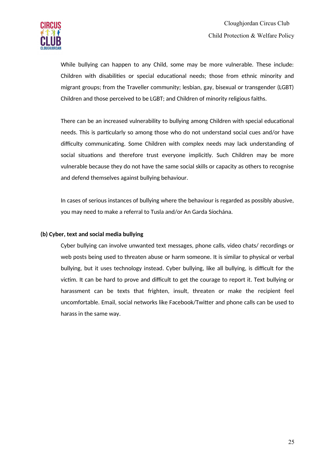

While bullying can happen to any Child, some may be more vulnerable. These include: Children with disabilities or special educational needs; those from ethnic minority and migrant groups; rom the Traveller community; lesbian, gay, bisexual or transgender (LGBT) Children and those perceived to be LGBT; and Children of minority religious faiths.

There can be an increased vulnerability to bullying among Children with special educatonal needs. This is partcularly so among those who do not understand social cues and/or have difficulty communicating. Some Children with complex needs may lack understanding of social situations and therefore trust everyone implicitly. Such Children may be more vulnerable because they do not have the same social skills or capacity as others to recognise and defend themselves against bullying behaviour.

In cases of serious instances of bullying where the behaviour is regarded as possibly abusive, you may need to make a referral to Tusla and/or An Garda Síochána.

#### (b) Cyber, text and social media bullying

Cyber bullying can involve unwanted text messages, phone calls, video chats/ recordings or web posts being used to threaten abuse or harm someone. It is similar to physical or verbal bullying, but it uses technology instead. Cyber bullying, like all bullying, is difficult for the victim. It can be hard to prove and difficult to get the courage to report it. Text bullying or harassment can be texts that frighten, insult, threaten or make the recipient feel uncomfortable. Email, social networks like Facebook/Twitter and phone calls can be used to harass in the same way.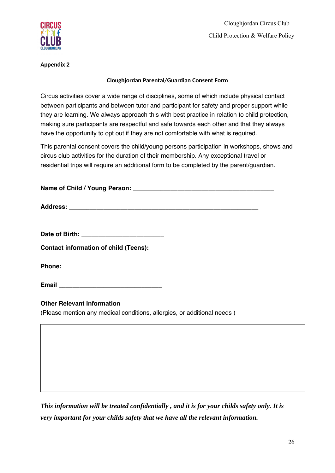

Cloughjordan Circus Club Child Protection & Welfare Policy

**Appeondix 2**

# **Cloughjordan Parental/Guardian Consent Form**

Circus activities cover a wide range of disciplines, some of which include physical contact between participants and between tutor and participant for safety and proper support while they are learning. We always approach this with best practice in relation to child protection, making sure participants are respectful and safe towards each other and that they always have the opportunity to opt out if they are not comfortable with what is required.

This parental consent covers the child/young persons participation in workshops, shows and circus club activities for the duration of their membership. Any exceptional travel or residential trips will require an additional form to be completed by the parent/guardian.

| Date of Birth: _____________________________                            |  |
|-------------------------------------------------------------------------|--|
| <b>Contact information of child (Teens):</b>                            |  |
|                                                                         |  |
|                                                                         |  |
| <b>Other Relevant Information</b>                                       |  |
| (Please mention any medical conditions, allergies, or additional needs) |  |
|                                                                         |  |
|                                                                         |  |
|                                                                         |  |
|                                                                         |  |

*This information will be treated confidentially , and it is for your childs safety only. It is very important for your childs safety that we have all the relevant information.*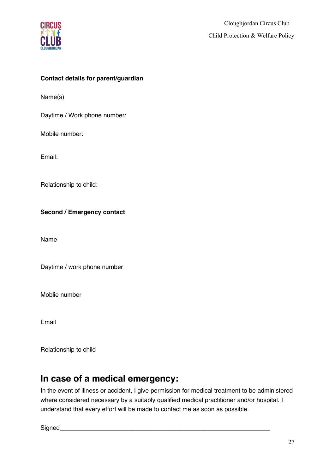

# **Contact details for parent/guardian**

Name(s)

Daytime / Work phone number:

Mobile number:

Email:

Relationship to child:

**Second / Emergency contact** 

Name

Daytime / work phone number

Moblie number

Email

Relationship to child

# **In case of a medical emergency:**

In the event of illness or accident, I give permission for medical treatment to be administered where considered necessary by a suitably qualified medical practitioner and/or hospital. I understand that every effort will be made to contact me as soon as possible.

Signed\_\_\_\_\_\_\_\_\_\_\_\_\_\_\_\_\_\_\_\_\_\_\_\_\_\_\_\_\_\_\_\_\_\_\_\_\_\_\_\_\_\_\_\_\_\_\_\_\_\_\_\_\_\_\_\_\_\_\_\_\_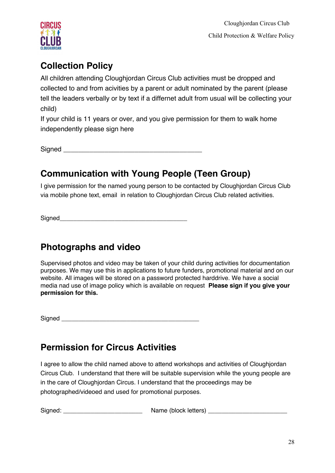

# **Collection Policy**

All children attending Cloughjordan Circus Club activities must be dropped and collected to and from acivities by a parent or adult nominated by the parent (please tell the leaders verbally or by text if a differnet adult from usual will be collecting your child)

If your child is 11 years or over, and you give permission for them to walk home independently please sign here

Signed **and**  $\overline{\phantom{a}}$  and  $\overline{\phantom{a}}$  and  $\overline{\phantom{a}}$  and  $\overline{\phantom{a}}$  and  $\overline{\phantom{a}}$  and  $\overline{\phantom{a}}$  and  $\overline{\phantom{a}}$  and  $\overline{\phantom{a}}$  and  $\overline{\phantom{a}}$  and  $\overline{\phantom{a}}$  and  $\overline{\phantom{a}}$  and  $\overline{\phantom{a}}$  and  $\overline{\phantom{a}}$  and

# **Communication with Young People (Teen Group)**

I give permission for the named young person to be contacted by Cloughjordan Circus Club via mobile phone text, email in relation to Cloughjordan Circus Club related activities.

Signed\_\_\_\_\_\_\_\_\_\_\_\_\_\_\_\_\_\_\_\_\_\_\_\_\_\_\_\_\_\_\_\_\_\_\_\_\_

# **Photographs and video**

Supervised photos and video may be taken of your child during activities for documentation purposes. We may use this in applications to future funders, promotional material and on our website. All images will be stored on a password protected harddrive. We have a social media nad use of image policy which is available on request **Please sign if you give your permission for this.**

Signed **and**  $\overline{\phantom{a}}$  and  $\overline{\phantom{a}}$  and  $\overline{\phantom{a}}$  and  $\overline{\phantom{a}}$  and  $\overline{\phantom{a}}$  and  $\overline{\phantom{a}}$  and  $\overline{\phantom{a}}$  and  $\overline{\phantom{a}}$  and  $\overline{\phantom{a}}$  and  $\overline{\phantom{a}}$  and  $\overline{\phantom{a}}$  and  $\overline{\phantom{a}}$  and  $\overline{\phantom{a}}$  and

# **Permission for Circus Activities**

I agree to allow the child named above to attend workshops and activities of Cloughjordan Circus Club. I understand that there will be suitable supervision while the young people are in the care of Cloughjordan Circus. I understand that the proceedings may be photographed/videoed and used for promotional purposes.

Signed: \_\_\_\_\_\_\_\_\_\_\_\_\_\_\_\_\_\_\_\_\_\_\_ Name (block letters) \_\_\_\_\_\_\_\_\_\_\_\_\_\_\_\_\_\_\_\_\_\_\_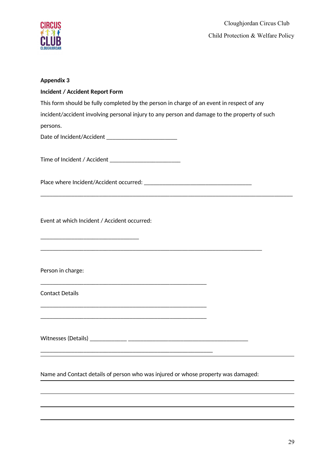

# **Appeondix 3**

| <b>Incident / Accident Report Form</b>                                                                                |
|-----------------------------------------------------------------------------------------------------------------------|
| This form should be fully completed by the person in charge of an event in respect of any                             |
| incident/accident involving personal injury to any person and damage to the property of such                          |
| persons.                                                                                                              |
|                                                                                                                       |
|                                                                                                                       |
| Time of Incident / Accident ____________________________                                                              |
|                                                                                                                       |
|                                                                                                                       |
|                                                                                                                       |
|                                                                                                                       |
| Event at which Incident / Accident occurred:                                                                          |
|                                                                                                                       |
|                                                                                                                       |
| <u> 1989 - Johann Barn, amerikan berkemaan di sebagai berkemaan di sebagai berkemaan di sebagai berkemaan di seba</u> |
|                                                                                                                       |
| Person in charge:                                                                                                     |
|                                                                                                                       |
| <b>Contact Details</b>                                                                                                |
|                                                                                                                       |
| <u> 1989 - Johann Stoff, deutscher Stoff, der Stoff, der Stoff, der Stoff, der Stoff, der Stoff, der Stoff, der S</u> |
| Witnesses (Details) ______________ _____                                                                              |
|                                                                                                                       |
|                                                                                                                       |
|                                                                                                                       |
| Name and Contact details of person who was injured or whose property was damaged:                                     |
|                                                                                                                       |

J,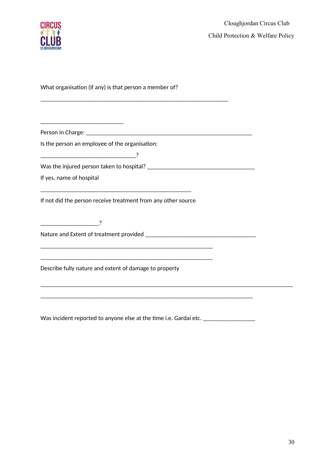

What organisation (if any) is that person a member of?

 $\frac{1}{\sqrt{2}}$  ,  $\frac{1}{\sqrt{2}}$  ,  $\frac{1}{\sqrt{2}}$  ,  $\frac{1}{\sqrt{2}}$  ,  $\frac{1}{\sqrt{2}}$ 

Person in Charge: **Example 20** and the set of the set of the set of the set of the set of the set of the set of the set of the set of the set of the set of the set of the set of the set of the set of the set of the set of

Is the person an employee of the organisation:

\_\_\_\_\_\_\_\_\_\_\_\_\_\_\_\_\_\_\_\_\_\_\_\_\_\_\_\_\_\_\_?

\_\_\_\_\_\_\_\_\_\_\_\_\_\_\_\_\_\_\_\_\_\_\_\_\_\_\_\_\_\_\_\_\_\_\_\_\_\_\_\_\_\_\_\_\_\_\_\_\_\_\_\_\_\_\_\_\_\_\_\_\_

Was the injured person taken to hospital? \_\_\_\_\_\_\_\_\_\_\_\_\_\_\_\_\_\_\_\_\_\_\_\_\_\_\_\_\_\_\_\_\_\_\_

If yes, name of hospital

If not did the person receive treatment from any other source

\_\_\_\_\_\_\_\_\_\_\_\_\_\_\_\_\_\_\_\_\_\_\_\_\_\_\_\_\_\_\_\_\_\_\_\_\_\_\_\_\_\_\_\_\_\_\_\_\_\_\_\_\_\_\_\_

\_\_\_\_\_\_\_\_\_\_\_\_\_\_\_\_\_\_\_\_\_\_\_\_\_\_\_\_\_\_\_\_\_\_\_\_\_\_\_\_\_\_\_\_\_\_\_\_\_\_\_\_\_\_\_\_

\_\_\_\_\_\_\_\_\_\_\_\_\_\_\_\_\_\_\_\_\_\_\_\_\_\_\_\_\_\_\_\_\_\_\_\_\_\_\_\_\_\_\_\_\_\_\_\_\_

\_\_\_\_\_\_\_\_\_\_\_\_\_\_\_\_\_\_\_?

Nature and Extent o treatment provided \_\_\_\_\_\_\_\_\_\_\_\_\_\_\_\_\_\_\_\_\_\_\_\_\_\_\_\_\_\_\_\_\_\_\_\_

Describe fully nature and extent of damage to property

Was incident reported to anyone else at the time i.e. Gardaí etc. \_\_\_\_\_\_\_\_\_\_\_\_\_\_

\_\_\_\_\_\_\_\_\_\_\_\_\_\_\_\_\_\_\_\_\_\_\_\_\_\_\_\_\_\_\_\_\_\_\_\_\_\_\_\_\_\_\_\_\_\_\_\_\_\_\_\_\_\_\_\_\_\_\_\_\_\_\_\_\_\_\_\_\_

\_\_\_\_\_\_\_\_\_\_\_\_\_\_\_\_\_\_\_\_\_\_\_\_\_\_\_\_\_\_\_\_\_\_\_\_\_\_\_\_\_\_\_\_\_\_\_\_\_\_\_\_\_\_\_\_\_\_\_\_\_\_\_\_\_\_\_\_\_\_\_\_\_\_\_\_\_\_\_\_\_\_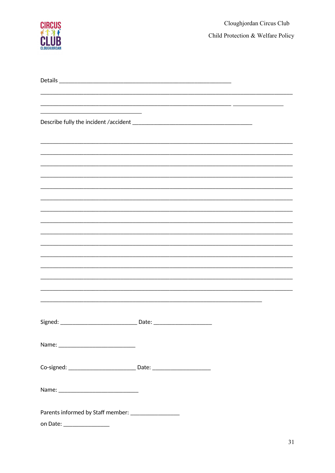

| Co-signed: _________________________________ Date: _____________________________ |  |
|----------------------------------------------------------------------------------|--|
|                                                                                  |  |
|                                                                                  |  |
|                                                                                  |  |
| Parents informed by Staff member: ____________________                           |  |
|                                                                                  |  |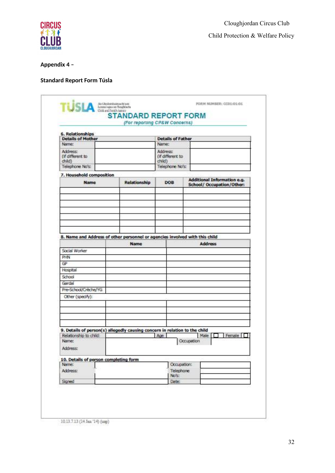

Child Protection & Welfare Policy

# Appendix 4 -

# **Standard Report Form Túsla**

|                                                                      |  |                                                                                     | (For reporting CP&W Concerns)                             |                                                          |  |
|----------------------------------------------------------------------|--|-------------------------------------------------------------------------------------|-----------------------------------------------------------|----------------------------------------------------------|--|
| 6. Relationships<br><b>Details of Mother</b>                         |  |                                                                                     |                                                           |                                                          |  |
| Name:                                                                |  |                                                                                     | <b>Details of Father</b><br>Name:                         |                                                          |  |
| Address:<br>(if different to<br>dhild)<br>Telephone No's:            |  |                                                                                     | Address:<br>(if different to<br>child)<br>Telephone No's: |                                                          |  |
|                                                                      |  |                                                                                     |                                                           |                                                          |  |
| 7. Household composition<br><b>Name</b>                              |  | Relationship<br><b>DOB</b>                                                          |                                                           | Additional Information e.g.<br>School/ Occupation/Other: |  |
|                                                                      |  |                                                                                     |                                                           |                                                          |  |
| Social Worker                                                        |  | 8. Name and Address of other personnel or agencies involved with this child<br>Name |                                                           | <b>Address</b>                                           |  |
| PHN                                                                  |  |                                                                                     |                                                           |                                                          |  |
| GP.                                                                  |  |                                                                                     |                                                           |                                                          |  |
| Hospital                                                             |  |                                                                                     |                                                           |                                                          |  |
| School                                                               |  |                                                                                     |                                                           |                                                          |  |
| Gardaí                                                               |  |                                                                                     |                                                           |                                                          |  |
| Pre-School/Créche/YG<br>Other (specify):                             |  |                                                                                     |                                                           |                                                          |  |
| Relationship to child:<br>Name:                                      |  | 9. Details of person(s) allegedly causing concern in relation to the child          | Age                                                       | Male<br>Female<br>Occupation                             |  |
| Address:                                                             |  |                                                                                     |                                                           |                                                          |  |
|                                                                      |  |                                                                                     |                                                           |                                                          |  |
|                                                                      |  |                                                                                     | Occupation:                                               |                                                          |  |
|                                                                      |  |                                                                                     | <b>Telephone</b>                                          |                                                          |  |
| 10. Details of person completing form<br>Name:<br>Address:<br>Signed |  |                                                                                     | No's:<br><b>Date:</b>                                     |                                                          |  |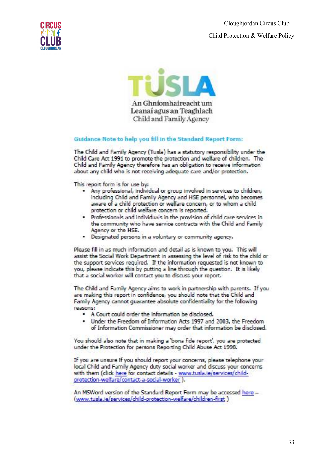Cloughjordan Circus Club Child Protection & Welfare Policy





#### Guidance Note to help you fill in the Standard Report Form:

The Child and Family Agency (Tusla) has a statutory responsibility under the Child Care Act 1991 to promote the protection and welfare of children. The Child and Family Agency therefore has an obligation to receive information about any child who is not receiving adequate care and/or protection.

This report form is for use by:

- . Any professional, individual or group involved in services to children, including Child and Family Agency and HSE personnel, who becomes aware of a child protection or welfare concern, or to whom a child protection or child welfare concern is reported.
- . Professionals and individuals in the provision of child care services in the community who have service contracts with the Child and Family Agency or the HSE.
- . Designated persons in a voluntary or community agency.

Please fill in as much information and detail as is known to you. This will assist the Social Work Department in assessing the level of risk to the child or the support services required. If the information requested is not known to you, please indicate this by putting a line through the question. It is likely that a social worker will contact you to discuss your report.

The Child and Family Agency aims to work in partnership with parents. If you are making this report in confidence, you should note that the Child and Family Agency cannot quarantee absolute confidentiality for the following reasons:

- . A Court could order the information be disclosed.
- . Under the Freedom of Information Acts 1997 and 2003, the Freedom of Information Commissioner may order that information be disclosed.

You should also note that in making a 'bona fide report', you are protected under the Protection for persons Reporting Child Abuse Act 1998.

If you are unsure if you should report your concerns, please telephone your local Child and Family Agency duty social worker and discuss your concerns with them (click here for contact details - www.tusla.ie/services/childprotection-welfare/contact-a-social-worker ).

An MSWord version of the Standard Report Form may be accessed here -(www.tusla.ie/services/child-protection-welfare/children-first.)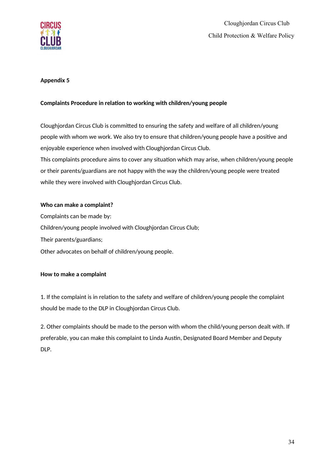

# **Appeondix 5**

# Complaints Procedure in relation to working with children/young people

Cloughjordan Circus Club is committed to ensuring the safety and welfare of all children/young people with whom we work. We also try to ensure that children/young people have a positive and enjoyable experience when involved with Cloughjordan Circus Club. This complaints procedure aims to cover any situation which may arise, when children/young people or their parents/guardians are not happy with the way the children/young people were treated

while they were involved with Cloughjordan Circus Club.

#### **Who can make a complaint?**

Complaints can be made by: Children/young people involved with Cloughjordan Circus Club; Their parents/guardians; Other advocates on behalf of children/young people.

# **How to make a complaint**

1. If the complaint is in relation to the safety and welfare of children/young people the complaint should be made to the DLP in Cloughjordan Circus Club.

2. Other complaints should be made to the person with whom the child/young person dealt with. If preferable, you can make this complaint to Linda Austin, Designated Board Member and Deputy DLP.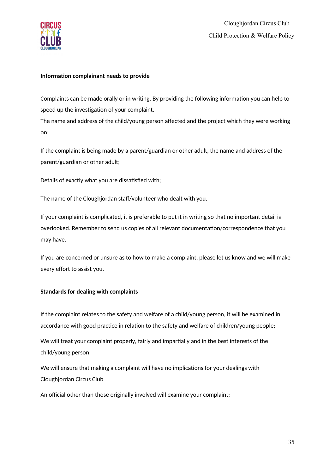

#### **Information complainant needs to provide**

Complaints can be made orally or in writing. By providing the following information you can help to speed up the investigation of your complaint.

The name and address of the child/young person affected and the project which they were working on;

If the complaint is being made by a parent/guardian or other adult, the name and address of the parent/guardian or other adult;

Details of exactly what you are dissatisfied with;

The name of the Cloughjordan staff/volunteer who dealt with you.

If your complaint is complicated, it is preferable to put it in writing so that no important detail is overlooked. Remember to send us copies of all relevant documentation/correspondence that you may have.

If you are concerned or unsure as to how to make a complaint, please let us know and we will make every effort to assist you.

# **Standards for dealing with complaints**

If the complaint relates to the safety and welfare of a child/young person, it will be examined in accordance with good practice in relation to the safety and welfare of children/young people;

We will treat your complaint properly, fairly and impartially and in the best interests of the child/young person;

We will ensure that making a complaint will have no implications for your dealings with Cloughjordan Circus Club

An official other than those originally involved will examine your complaint;